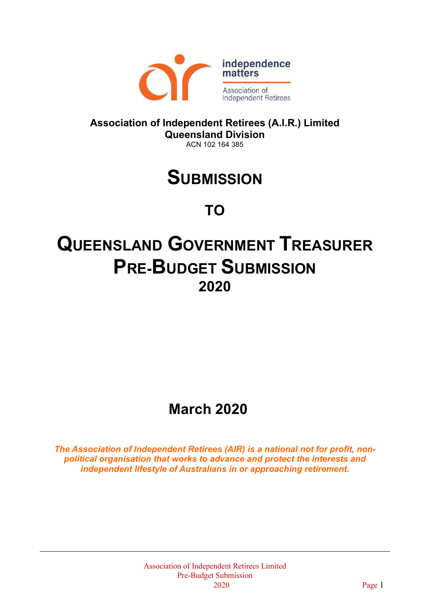

## **Association of Independent Retirees (A.I.R.) Limited Queensland Division**

ACN 102 164 385

# **SUBMISSION**

## **TO**

# **QUEENSLAND GOVERNMENT TREASURER PRE-BUDGET SUBMISSION 2020**

## **March 2020**

*The Association of Independent Retirees (AIR) is a national not for profit, nonpolitical organisation that works to advance and protect the interests and independent lifestyle of Australians in or approaching retirement.*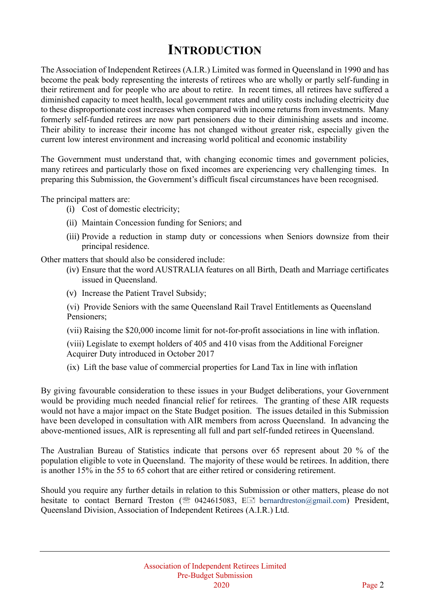## **INTRODUCTION**

The Association of Independent Retirees (A.I.R.) Limited was formed in Queensland in 1990 and has become the peak body representing the interests of retirees who are wholly or partly self-funding in their retirement and for people who are about to retire. In recent times, all retirees have suffered a diminished capacity to meet health, local government rates and utility costs including electricity due to these disproportionate cost increases when compared with income returns from investments. Many formerly self-funded retirees are now part pensioners due to their diminishing assets and income. Their ability to increase their income has not changed without greater risk, especially given the current low interest environment and increasing world political and economic instability

The Government must understand that, with changing economic times and government policies, many retirees and particularly those on fixed incomes are experiencing very challenging times. In preparing this Submission, the Government's difficult fiscal circumstances have been recognised.

The principal matters are:

- (i) Cost of domestic electricity;
- (ii) Maintain Concession funding for Seniors; and
- (iii) Provide a reduction in stamp duty or concessions when Seniors downsize from their principal residence.

Other matters that should also be considered include:

- (iv) Ensure that the word AUSTRALIA features on all Birth, Death and Marriage certificates issued in Queensland.
- (v) Increase the Patient Travel Subsidy;

(vi) Provide Seniors with the same Queensland Rail Travel Entitlements as Queensland Pensioners;

(vii) Raising the \$20,000 income limit for not-for-profit associations in line with inflation.

(viii) Legislate to exempt holders of 405 and 410 visas from the Additional Foreigner Acquirer Duty introduced in October 2017

(ix) Lift the base value of commercial properties for Land Tax in line with inflation

By giving favourable consideration to these issues in your Budget deliberations, your Government would be providing much needed financial relief for retirees. The granting of these AIR requests would not have a major impact on the State Budget position. The issues detailed in this Submission have been developed in consultation with AIR members from across Queensland. In advancing the above-mentioned issues, AIR is representing all full and part self-funded retirees in Queensland.

The Australian Bureau of Statistics indicate that persons over 65 represent about 20 % of the population eligible to vote in Queensland. The majority of these would be retirees. In addition, there is another 15% in the 55 to 65 cohort that are either retired or considering retirement.

Should you require any further details in relation to this Submission or other matters, please do not hesitate to contact Bernard Treston ( $\mathbb{R}$  0424615083, E bernardtreston ( $\mathbb{Q}$ gmail.com) President, Queensland Division, Association of Independent Retirees (A.I.R.) Ltd.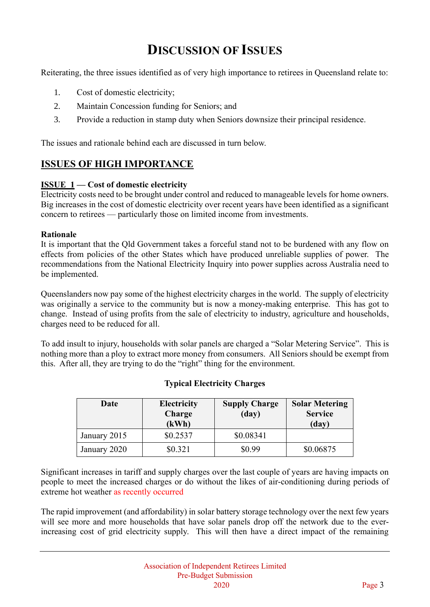## **DISCUSSION OF ISSUES**

Reiterating, the three issues identified as of very high importance to retirees in Queensland relate to:

- 1. Cost of domestic electricity;
- 2. Maintain Concession funding for Seniors; and
- 3. Provide a reduction in stamp duty when Seniors downsize their principal residence.

The issues and rationale behind each are discussed in turn below.

## **ISSUES OF HIGH IMPORTANCE**

#### **ISSUE 1 — Cost of domestic electricity**

Electricity costs need to be brought under control and reduced to manageable levels for home owners. Big increases in the cost of domestic electricity over recent years have been identified as a significant concern to retirees — particularly those on limited income from investments.

#### **Rationale**

It is important that the Qld Government takes a forceful stand not to be burdened with any flow on effects from policies of the other States which have produced unreliable supplies of power. The recommendations from the National Electricity Inquiry into power supplies across Australia need to be implemented.

Queenslanders now pay some of the highest electricity charges in the world. The supply of electricity was originally a service to the community but is now a money-making enterprise. This has got to change. Instead of using profits from the sale of electricity to industry, agriculture and households, charges need to be reduced for all.

To add insult to injury, households with solar panels are charged a "Solar Metering Service". This is nothing more than a ploy to extract more money from consumers. All Seniors should be exempt from this. After all, they are trying to do the "right" thing for the environment.

| Date         | <b>Electricity</b><br>Charge<br>(kWh) | <b>Supply Charge</b><br>(day) | <b>Solar Metering</b><br><b>Service</b><br>(day) |
|--------------|---------------------------------------|-------------------------------|--------------------------------------------------|
| January 2015 | \$0.2537                              | \$0.08341                     |                                                  |
| January 2020 | \$0.321                               | \$0.99                        | \$0.06875                                        |

## **Typical Electricity Charges**

Significant increases in tariff and supply charges over the last couple of years are having impacts on people to meet the increased charges or do without the likes of air-conditioning during periods of extreme hot weather as recently occurred

The rapid improvement (and affordability) in solar battery storage technology over the next few years will see more and more households that have solar panels drop off the network due to the everincreasing cost of grid electricity supply. This will then have a direct impact of the remaining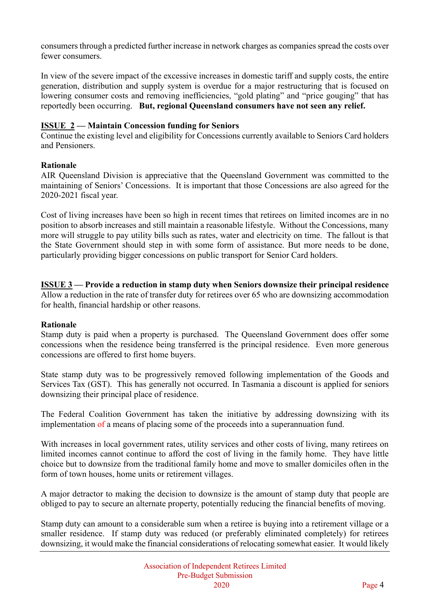consumers through a predicted further increase in network charges as companies spread the costs over fewer consumers.

In view of the severe impact of the excessive increases in domestic tariff and supply costs, the entire generation, distribution and supply system is overdue for a major restructuring that is focused on lowering consumer costs and removing inefficiencies, "gold plating" and "price gouging" that has reportedly been occurring. **But, regional Queensland consumers have not seen any relief.**

## **ISSUE 2 — Maintain Concession funding for Seniors**

Continue the existing level and eligibility for Concessions currently available to Seniors Card holders and Pensioners.

## **Rationale**

AIR Queensland Division is appreciative that the Queensland Government was committed to the maintaining of Seniors' Concessions. It is important that those Concessions are also agreed for the 2020-2021 fiscal year.

Cost of living increases have been so high in recent times that retirees on limited incomes are in no position to absorb increases and still maintain a reasonable lifestyle. Without the Concessions, many more will struggle to pay utility bills such as rates, water and electricity on time. The fallout is that the State Government should step in with some form of assistance. But more needs to be done, particularly providing bigger concessions on public transport for Senior Card holders.

**ISSUE 3 — Provide a reduction in stamp duty when Seniors downsize their principal residence** Allow a reduction in the rate of transfer duty for retirees over 65 who are downsizing accommodation for health, financial hardship or other reasons.

## **Rationale**

Stamp duty is paid when a property is purchased. The Queensland Government does offer some concessions when the residence being transferred is the principal residence. Even more generous concessions are offered to first home buyers.

State stamp duty was to be progressively removed following implementation of the Goods and Services Tax (GST). This has generally not occurred. In Tasmania a discount is applied for seniors downsizing their principal place of residence.

The Federal Coalition Government has taken the initiative by addressing downsizing with its implementation of a means of placing some of the proceeds into a superannuation fund.

With increases in local government rates, utility services and other costs of living, many retirees on limited incomes cannot continue to afford the cost of living in the family home. They have little choice but to downsize from the traditional family home and move to smaller domiciles often in the form of town houses, home units or retirement villages.

A major detractor to making the decision to downsize is the amount of stamp duty that people are obliged to pay to secure an alternate property, potentially reducing the financial benefits of moving.

Stamp duty can amount to a considerable sum when a retiree is buying into a retirement village or a smaller residence. If stamp duty was reduced (or preferably eliminated completely) for retirees downsizing, it would make the financial considerations of relocating somewhat easier. It would likely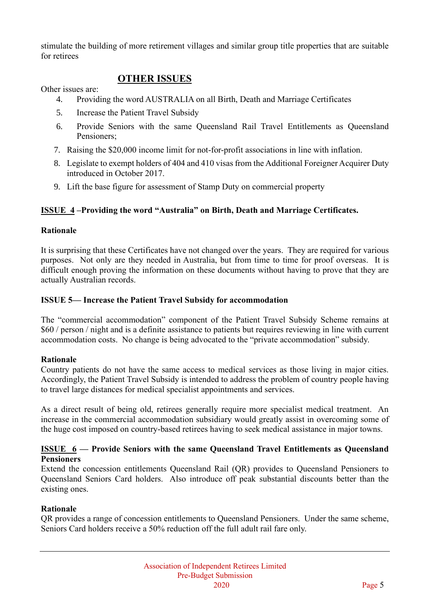stimulate the building of more retirement villages and similar group title properties that are suitable for retirees

## **OTHER ISSUES**

Other issues are:

- 4. Providing the word AUSTRALIA on all Birth, Death and Marriage Certificates
- 5. Increase the Patient Travel Subsidy
- 6. Provide Seniors with the same Queensland Rail Travel Entitlements as Queensland Pensioners;
- 7. Raising the \$20,000 income limit for not-for-profit associations in line with inflation.
- 8. Legislate to exempt holders of 404 and 410 visas from the Additional Foreigner Acquirer Duty introduced in October 2017.
- 9. Lift the base figure for assessment of Stamp Duty on commercial property

## **ISSUE 4 –Providing the word "Australia" on Birth, Death and Marriage Certificates.**

## **Rationale**

It is surprising that these Certificates have not changed over the years. They are required for various purposes. Not only are they needed in Australia, but from time to time for proof overseas. It is difficult enough proving the information on these documents without having to prove that they are actually Australian records.

## **ISSUE 5— Increase the Patient Travel Subsidy for accommodation**

The "commercial accommodation" component of the Patient Travel Subsidy Scheme remains at \$60 / person / night and is a definite assistance to patients but requires reviewing in line with current accommodation costs. No change is being advocated to the "private accommodation" subsidy.

## **Rationale**

Country patients do not have the same access to medical services as those living in major cities. Accordingly, the Patient Travel Subsidy is intended to address the problem of country people having to travel large distances for medical specialist appointments and services.

As a direct result of being old, retirees generally require more specialist medical treatment. An increase in the commercial accommodation subsidiary would greatly assist in overcoming some of the huge cost imposed on country-based retirees having to seek medical assistance in major towns.

## **ISSUE 6 — Provide Seniors with the same Queensland Travel Entitlements as Queensland Pensioners**

Extend the concession entitlements Queensland Rail (QR) provides to Queensland Pensioners to Queensland Seniors Card holders. Also introduce off peak substantial discounts better than the existing ones.

## **Rationale**

QR provides a range of concession entitlements to Queensland Pensioners. Under the same scheme, Seniors Card holders receive a 50% reduction off the full adult rail fare only.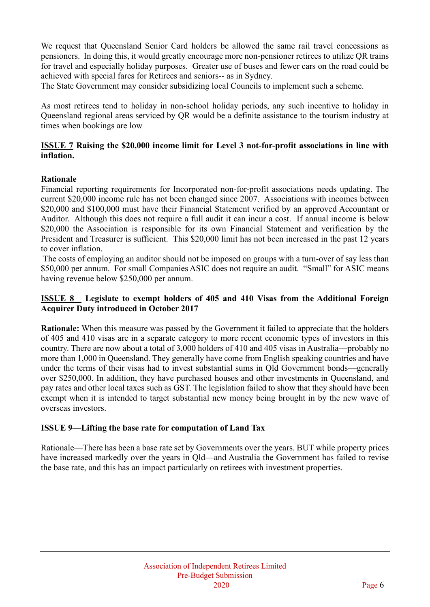We request that Queensland Senior Card holders be allowed the same rail travel concessions as pensioners. In doing this, it would greatly encourage more non-pensioner retirees to utilize QR trains for travel and especially holiday purposes. Greater use of buses and fewer cars on the road could be achieved with special fares for Retirees and seniors-- as in Sydney.

The State Government may consider subsidizing local Councils to implement such a scheme.

As most retirees tend to holiday in non-school holiday periods, any such incentive to holiday in Queensland regional areas serviced by QR would be a definite assistance to the tourism industry at times when bookings are low

## **ISSUE 7 Raising the \$20,000 income limit for Level 3 not-for-profit associations in line with inflation.**

#### **Rationale**

Financial reporting requirements for Incorporated non-for-profit associations needs updating. The current \$20,000 income rule has not been changed since 2007. Associations with incomes between \$20,000 and \$100,000 must have their Financial Statement verified by an approved Accountant or Auditor. Although this does not require a full audit it can incur a cost. If annual income is below \$20,000 the Association is responsible for its own Financial Statement and verification by the President and Treasurer is sufficient. This \$20,000 limit has not been increased in the past 12 years to cover inflation.

The costs of employing an auditor should not be imposed on groups with a turn-over of say less than \$50,000 per annum. For small Companies ASIC does not require an audit. "Small" for ASIC means having revenue below \$250,000 per annum.

## **ISSUE 8 Legislate to exempt holders of 405 and 410 Visas from the Additional Foreign Acquirer Duty introduced in October 2017**

**Rationale:** When this measure was passed by the Government it failed to appreciate that the holders of 405 and 410 visas are in a separate category to more recent economic types of investors in this country. There are now about a total of 3,000 holders of 410 and 405 visas in Australia—probably no more than 1,000 in Queensland. They generally have come from English speaking countries and have under the terms of their visas had to invest substantial sums in Qld Government bonds—generally over \$250,000. In addition, they have purchased houses and other investments in Queensland, and pay rates and other local taxes such as GST. The legislation failed to show that they should have been exempt when it is intended to target substantial new money being brought in by the new wave of overseas investors.

#### **ISSUE 9—Lifting the base rate for computation of Land Tax**

Rationale—There has been a base rate set by Governments over the years. BUT while property prices have increased markedly over the years in Qld—and Australia the Government has failed to revise the base rate, and this has an impact particularly on retirees with investment properties.